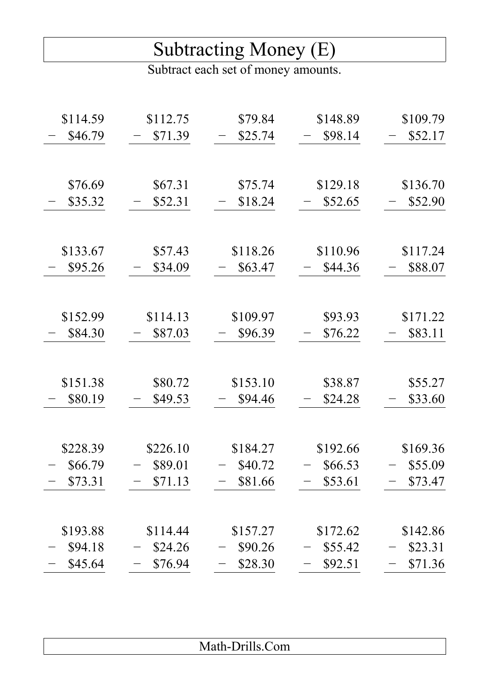## Subtracting Money (E)

Subtract each set of money amounts.

| \$114.59 | \$112.75 | \$79.84  | \$148.89 | \$109.79 |
|----------|----------|----------|----------|----------|
| \$46.79  | \$71.39  | \$25.74  | \$98.14  | \$52.17  |
|          |          |          |          |          |
|          |          |          |          |          |
| \$76.69  | \$67.31  | \$75.74  | \$129.18 | \$136.70 |
| \$35.32  | \$52.31  | \$18.24  | \$52.65  | \$52.90  |
|          |          |          |          |          |
|          |          |          |          |          |
| \$133.67 | \$57.43  | \$118.26 | \$110.96 | \$117.24 |
| \$95.26  | \$34.09  | \$63.47  | \$44.36  | \$88.07  |
|          |          |          |          |          |
|          |          |          |          |          |
| \$152.99 | \$114.13 | \$109.97 | \$93.93  | \$171.22 |
| \$84.30  | \$87.03  | \$96.39  | \$76.22  | \$83.11  |
|          |          |          |          |          |
|          |          |          |          |          |
| \$151.38 | \$80.72  | \$153.10 | \$38.87  | \$55.27  |
| \$80.19  | \$49.53  | \$94.46  | \$24.28  | \$33.60  |
|          |          |          |          |          |
|          |          |          |          |          |
| \$228.39 | \$226.10 | \$184.27 | \$192.66 | \$169.36 |
| \$66.79  | \$89.01  | \$40.72  | \$66.53  | \$55.09  |
| \$73.31  | \$71.13  | \$81.66  | \$53.61  | \$73.47  |
|          |          |          |          |          |
|          |          |          |          |          |
| \$193.88 | \$114.44 | \$157.27 | \$172.62 | \$142.86 |
| \$94.18  | \$24.26  | \$90.26  | \$55.42  | \$23.31  |
| \$45.64  | \$76.94  | \$28.30  | \$92.51  | \$71.36  |
|          |          |          |          |          |